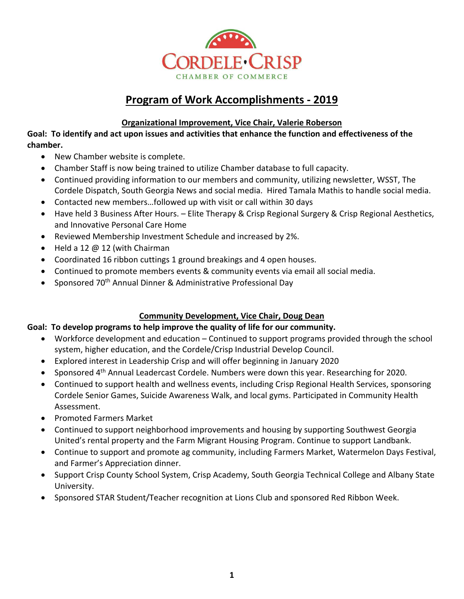

# **Program of Work Accomplishments - 2019**

## **Organizational Improvement, Vice Chair, Valerie Roberson**

**Goal: To identify and act upon issues and activities that enhance the function and effectiveness of the chamber.**

- New Chamber website is complete.
- Chamber Staff is now being trained to utilize Chamber database to full capacity.
- Continued providing information to our members and community, utilizing newsletter, WSST, The Cordele Dispatch, South Georgia News and social media. Hired Tamala Mathis to handle social media.
- Contacted new members…followed up with visit or call within 30 days
- Have held 3 Business After Hours. Elite Therapy & Crisp Regional Surgery & Crisp Regional Aesthetics, and Innovative Personal Care Home
- Reviewed Membership Investment Schedule and increased by 2%.
- Held a 12 @ 12 (with Chairman
- Coordinated 16 ribbon cuttings 1 ground breakings and 4 open houses.
- Continued to promote members events & community events via email all social media.
- Sponsored 70<sup>th</sup> Annual Dinner & Administrative Professional Day

# **Community Development, Vice Chair, Doug Dean**

# **Goal: To develop programs to help improve the quality of life for our community.**

- Workforce development and education Continued to support programs provided through the school system, higher education, and the Cordele/Crisp Industrial Develop Council.
- Explored interest in Leadership Crisp and will offer beginning in January 2020
- Sponsored 4<sup>th</sup> Annual Leadercast Cordele. Numbers were down this year. Researching for 2020.
- Continued to support health and wellness events, including Crisp Regional Health Services, sponsoring Cordele Senior Games, Suicide Awareness Walk, and local gyms. Participated in Community Health Assessment.
- Promoted Farmers Market
- Continued to support neighborhood improvements and housing by supporting Southwest Georgia United's rental property and the Farm Migrant Housing Program. Continue to support Landbank.
- Continue to support and promote ag community, including Farmers Market, Watermelon Days Festival, and Farmer's Appreciation dinner.
- Support Crisp County School System, Crisp Academy, South Georgia Technical College and Albany State University.
- Sponsored STAR Student/Teacher recognition at Lions Club and sponsored Red Ribbon Week.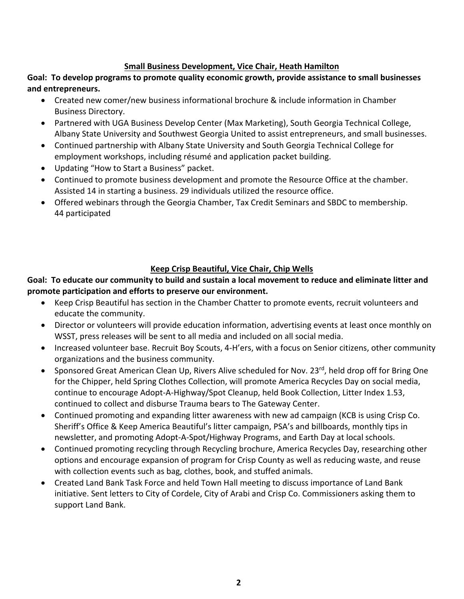#### **Small Business Development, Vice Chair, Heath Hamilton**

**Goal: To develop programs to promote quality economic growth, provide assistance to small businesses and entrepreneurs.**

- Created new comer/new business informational brochure & include information in Chamber Business Directory.
- Partnered with UGA Business Develop Center (Max Marketing), South Georgia Technical College, Albany State University and Southwest Georgia United to assist entrepreneurs, and small businesses.
- Continued partnership with Albany State University and South Georgia Technical College for employment workshops, including résumé and application packet building.
- Updating "How to Start a Business" packet.
- Continued to promote business development and promote the Resource Office at the chamber. Assisted 14 in starting a business. 29 individuals utilized the resource office.
- Offered webinars through the Georgia Chamber, Tax Credit Seminars and SBDC to membership. 44 participated

# **Keep Crisp Beautiful, Vice Chair, Chip Wells**

### **Goal: To educate our community to build and sustain a local movement to reduce and eliminate litter and promote participation and efforts to preserve our environment.**

- Keep Crisp Beautiful has section in the Chamber Chatter to promote events, recruit volunteers and educate the community.
- Director or volunteers will provide education information, advertising events at least once monthly on WSST, press releases will be sent to all media and included on all social media.
- Increased volunteer base. Recruit Boy Scouts, 4-H'ers, with a focus on Senior citizens, other community organizations and the business community.
- Sponsored Great American Clean Up, Rivers Alive scheduled for Nov. 23<sup>rd</sup>, held drop off for Bring One for the Chipper, held Spring Clothes Collection, will promote America Recycles Day on social media, continue to encourage Adopt-A-Highway/Spot Cleanup, held Book Collection, Litter Index 1.53, continued to collect and disburse Trauma bears to The Gateway Center.
- Continued promoting and expanding litter awareness with new ad campaign (KCB is using Crisp Co. Sheriff's Office & Keep America Beautiful's litter campaign, PSA's and billboards, monthly tips in newsletter, and promoting Adopt-A-Spot/Highway Programs, and Earth Day at local schools.
- Continued promoting recycling through Recycling brochure, America Recycles Day, researching other options and encourage expansion of program for Crisp County as well as reducing waste, and reuse with collection events such as bag, clothes, book, and stuffed animals.
- Created Land Bank Task Force and held Town Hall meeting to discuss importance of Land Bank initiative. Sent letters to City of Cordele, City of Arabi and Crisp Co. Commissioners asking them to support Land Bank.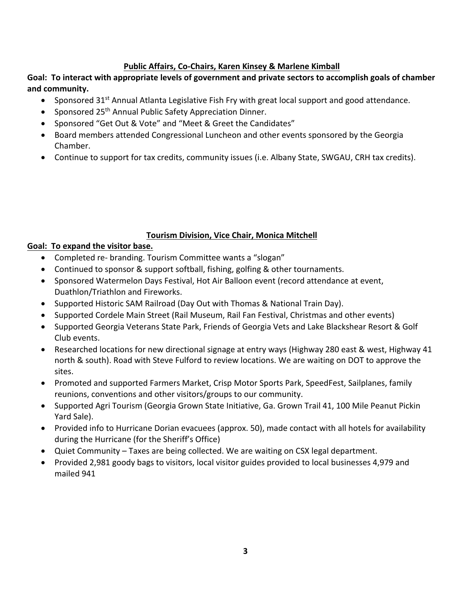#### **Public Affairs, Co-Chairs, Karen Kinsey & Marlene Kimball**

### **Goal: To interact with appropriate levels of government and private sectors to accomplish goals of chamber and community.**

- Sponsored 31<sup>st</sup> Annual Atlanta Legislative Fish Fry with great local support and good attendance.
- Sponsored 25<sup>th</sup> Annual Public Safety Appreciation Dinner.
- Sponsored "Get Out & Vote" and "Meet & Greet the Candidates"
- Board members attended Congressional Luncheon and other events sponsored by the Georgia Chamber.
- Continue to support for tax credits, community issues (i.e. Albany State, SWGAU, CRH tax credits).

#### **Tourism Division, Vice Chair, Monica Mitchell**

#### **Goal: To expand the visitor base.**

- Completed re- branding. Tourism Committee wants a "slogan"
- Continued to sponsor & support softball, fishing, golfing & other tournaments.
- Sponsored Watermelon Days Festival, Hot Air Balloon event (record attendance at event, Duathlon/Triathlon and Fireworks.
- Supported Historic SAM Railroad (Day Out with Thomas & National Train Day).
- Supported Cordele Main Street (Rail Museum, Rail Fan Festival, Christmas and other events)
- Supported Georgia Veterans State Park, Friends of Georgia Vets and Lake Blackshear Resort & Golf Club events.
- Researched locations for new directional signage at entry ways (Highway 280 east & west, Highway 41 north & south). Road with Steve Fulford to review locations. We are waiting on DOT to approve the sites.
- Promoted and supported Farmers Market, Crisp Motor Sports Park, SpeedFest, Sailplanes, family reunions, conventions and other visitors/groups to our community.
- Supported Agri Tourism (Georgia Grown State Initiative, Ga. Grown Trail 41, 100 Mile Peanut Pickin Yard Sale).
- Provided info to Hurricane Dorian evacuees (approx. 50), made contact with all hotels for availability during the Hurricane (for the Sheriff's Office)
- Quiet Community Taxes are being collected. We are waiting on CSX legal department.
- Provided 2,981 goody bags to visitors, local visitor guides provided to local businesses 4,979 and mailed 941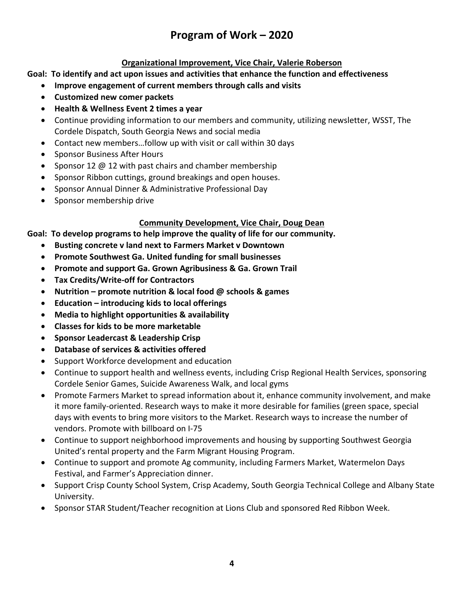# **Program of Work – 2020**

## **Organizational Improvement, Vice Chair, Valerie Roberson**

**Goal: To identify and act upon issues and activities that enhance the function and effectiveness** 

- **Improve engagement of current members through calls and visits**
- **Customized new comer packets**
- **Health & Wellness Event 2 times a year**
- Continue providing information to our members and community, utilizing newsletter, WSST, The Cordele Dispatch, South Georgia News and social media
- Contact new members…follow up with visit or call within 30 days
- Sponsor Business After Hours
- Sponsor 12 @ 12 with past chairs and chamber membership
- Sponsor Ribbon cuttings, ground breakings and open houses.
- Sponsor Annual Dinner & Administrative Professional Day
- Sponsor membership drive

#### **Community Development, Vice Chair, Doug Dean**

**Goal: To develop programs to help improve the quality of life for our community.**

- **Busting concrete v land next to Farmers Market v Downtown**
- **Promote Southwest Ga. United funding for small businesses**
- **Promote and support Ga. Grown Agribusiness & Ga. Grown Trail**
- **Tax Credits/Write-off for Contractors**
- **Nutrition – promote nutrition & local food @ schools & games**
- **Education – introducing kids to local offerings**
- **Media to highlight opportunities & availability**
- **Classes for kids to be more marketable**
- **Sponsor Leadercast & Leadership Crisp**
- **Database of services & activities offered**
- Support Workforce development and education
- Continue to support health and wellness events, including Crisp Regional Health Services, sponsoring Cordele Senior Games, Suicide Awareness Walk, and local gyms
- Promote Farmers Market to spread information about it, enhance community involvement, and make it more family-oriented. Research ways to make it more desirable for families (green space, special days with events to bring more visitors to the Market. Research ways to increase the number of vendors. Promote with billboard on I-75
- Continue to support neighborhood improvements and housing by supporting Southwest Georgia United's rental property and the Farm Migrant Housing Program.
- Continue to support and promote Ag community, including Farmers Market, Watermelon Days Festival, and Farmer's Appreciation dinner.
- Support Crisp County School System, Crisp Academy, South Georgia Technical College and Albany State University.
- Sponsor STAR Student/Teacher recognition at Lions Club and sponsored Red Ribbon Week.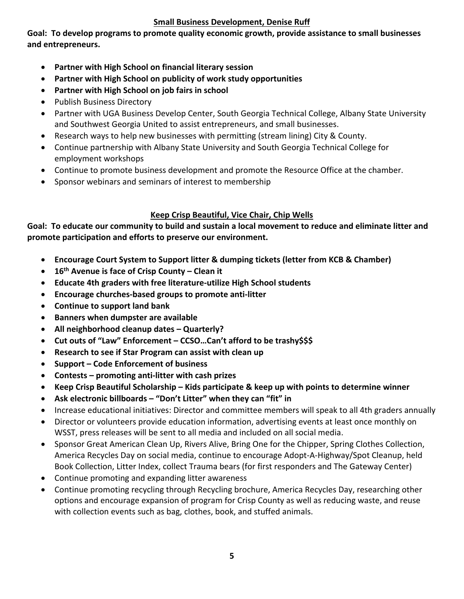#### **Small Business Development, Denise Ruff**

**Goal: To develop programs to promote quality economic growth, provide assistance to small businesses and entrepreneurs.**

- **Partner with High School on financial literary session**
- **Partner with High School on publicity of work study opportunities**
- **Partner with High School on job fairs in school**
- Publish Business Directory
- Partner with UGA Business Develop Center, South Georgia Technical College, Albany State University and Southwest Georgia United to assist entrepreneurs, and small businesses.
- Research ways to help new businesses with permitting (stream lining) City & County.
- Continue partnership with Albany State University and South Georgia Technical College for employment workshops
- Continue to promote business development and promote the Resource Office at the chamber.
- Sponsor webinars and seminars of interest to membership

# **Keep Crisp Beautiful, Vice Chair, Chip Wells**

**Goal: To educate our community to build and sustain a local movement to reduce and eliminate litter and promote participation and efforts to preserve our environment.**

- **Encourage Court System to Support litter & dumping tickets (letter from KCB & Chamber)**
- **16th Avenue is face of Crisp County – Clean it**
- **Educate 4th graders with free literature-utilize High School students**
- **Encourage churches-based groups to promote anti-litter**
- **Continue to support land bank**
- **Banners when dumpster are available**
- **All neighborhood cleanup dates – Quarterly?**
- **Cut outs of "Law" Enforcement – CCSO…Can't afford to be trashy\$\$\$**
- **Research to see if Star Program can assist with clean up**
- **Support – Code Enforcement of business**
- **Contests – promoting anti-litter with cash prizes**
- **Keep Crisp Beautiful Scholarship – Kids participate & keep up with points to determine winner**
- **Ask electronic billboards – "Don't Litter" when they can "fit" in**
- Increase educational initiatives: Director and committee members will speak to all 4th graders annually
- Director or volunteers provide education information, advertising events at least once monthly on WSST, press releases will be sent to all media and included on all social media.
- Sponsor Great American Clean Up, Rivers Alive, Bring One for the Chipper, Spring Clothes Collection, America Recycles Day on social media, continue to encourage Adopt-A-Highway/Spot Cleanup, held Book Collection, Litter Index, collect Trauma bears (for first responders and The Gateway Center)
- Continue promoting and expanding litter awareness
- Continue promoting recycling through Recycling brochure, America Recycles Day, researching other options and encourage expansion of program for Crisp County as well as reducing waste, and reuse with collection events such as bag, clothes, book, and stuffed animals.